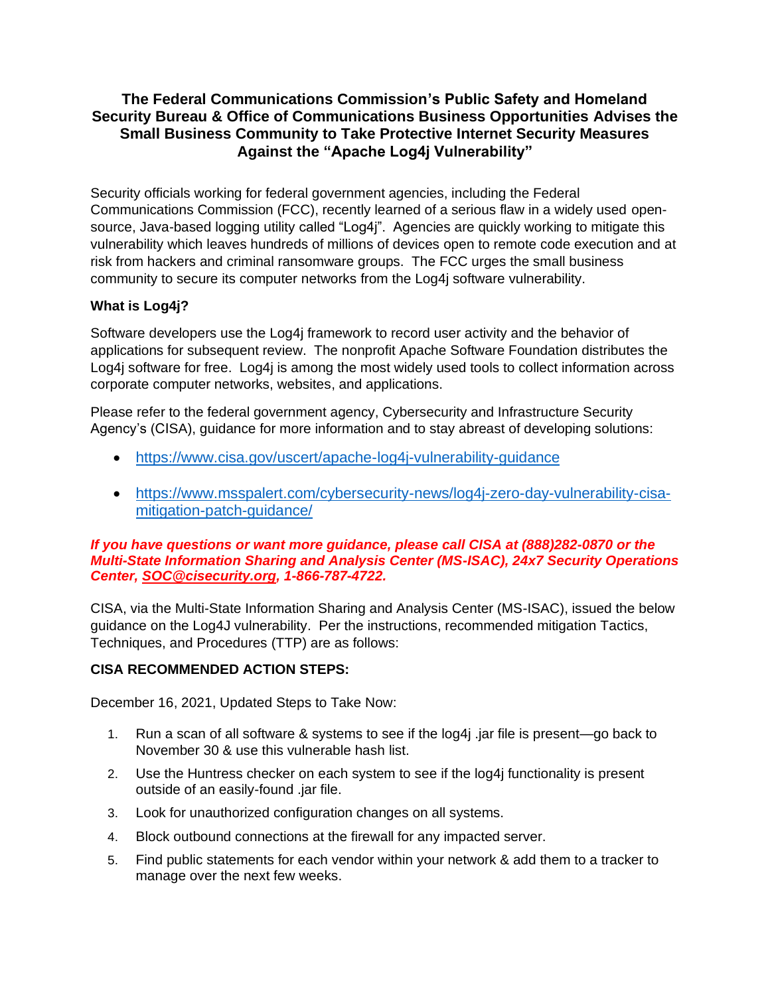## **The Federal Communications Commission's Public Safety and Homeland Security Bureau & Office of Communications Business Opportunities Advises the Small Business Community to Take Protective Internet Security Measures Against the "Apache Log4j Vulnerability"**

Security officials working for federal government agencies, including the Federal Communications Commission (FCC), recently learned of a serious flaw in a widely used opensource, Java-based logging utility called "Log4j". Agencies are quickly working to mitigate this vulnerability which leaves hundreds of millions of devices open to remote code execution and at risk from hackers and criminal ransomware groups. The FCC urges the small business community to secure its computer networks from the Log4j software vulnerability.

# **What is Log4j?**

Software developers use the Log4j framework to record user activity and the behavior of applications for subsequent review. The nonprofit Apache Software Foundation distributes the Log4j software for free. Log4j is among the most widely used tools to collect information across corporate computer networks, websites, and applications.

Please refer to the federal government agency, Cybersecurity and Infrastructure Security Agency's (CISA), guidance for more information and to stay abreast of developing solutions:

- <https://www.cisa.gov/uscert/apache-log4j-vulnerability-guidance>
- [https://www.msspalert.com/cybersecurity-news/log4j-zero-day-vulnerability-cisa](https://www.msspalert.com/cybersecurity-news/log4j-zero-day-vulnerability-cisa-mitigation-patch-guidance/)[mitigation-patch-guidance/](https://www.msspalert.com/cybersecurity-news/log4j-zero-day-vulnerability-cisa-mitigation-patch-guidance/)

#### *If you have questions or want more guidance, please call CISA at (888)282-0870 or the Multi-State Information Sharing and Analysis Center (MS-ISAC), 24x7 Security Operations Center, [SOC@cisecurity.org,](mailto:SOC@cisecurity.org) 1-866-787-4722.*

CISA, via the Multi-State Information Sharing and Analysis Center (MS-ISAC), issued the below guidance on the Log4J vulnerability. Per the instructions, recommended mitigation Tactics, Techniques, and Procedures (TTP) are as follows:

### **CISA RECOMMENDED ACTION STEPS:**

December 16, 2021, Updated Steps to Take Now:

- 1. Run a scan of all software & systems to see if the log4j .jar file is present—go back to November 30 & use this vulnerable hash [list.](https://urldefense.proofpoint.com/v2/url?u=https-3A__go.iansresearch.com_e_64282_UEcp2Bdasfd68kciM3D-2Dreserved-2D0_h9y3bg_953326523-3Fh-3D9C22x9ITclELYCzzvjxT8EhSFbsvfnapI6jrpDawQfg&d=DwMDaQ&c=y0h0omCe0jAUGr4gAQ02Fw&r=Y97Ps5tv65q8ZnICqoUreF9PQhMpqXAwMznf-J-95Gk&m=jlZ2k2vOtzpxA3EC0nCCpchqlDQesCpNhHTi10rB1ql8n0pDpstQZQx1Jl3Dwh94&s=QMboFRz-yKo-ja30Uw98DNYIluhZZd2nMCa0_Cbtk8k&e=)
- 2. Use the [Huntress checker](https://urldefense.proofpoint.com/v2/url?u=https-3A__go.iansresearch.com_e_64282_pTLIjlQ85ctVSsYa43D-2Dreserved-2D0_h9y3bj_953326523-3Fh-3D9C22x9ITclELYCzzvjxT8EhSFbsvfnapI6jrpDawQfg&d=DwMDaQ&c=y0h0omCe0jAUGr4gAQ02Fw&r=Y97Ps5tv65q8ZnICqoUreF9PQhMpqXAwMznf-J-95Gk&m=jlZ2k2vOtzpxA3EC0nCCpchqlDQesCpNhHTi10rB1ql8n0pDpstQZQx1Jl3Dwh94&s=hHdfh1Ci5EKZkBhzh7jqGfpfyHLPI-J263wkPNHBW6U&e=) on each system to see if the log4j functionality is present outside of an easily-found .jar file.
- 3. Look for unauthorized configuration changes on all systems.
- 4. Block outbound connections at the firewall for any impacted server.
- 5. Find public statements for each vendor within your network & add them to a tracker to manage over the next few weeks.